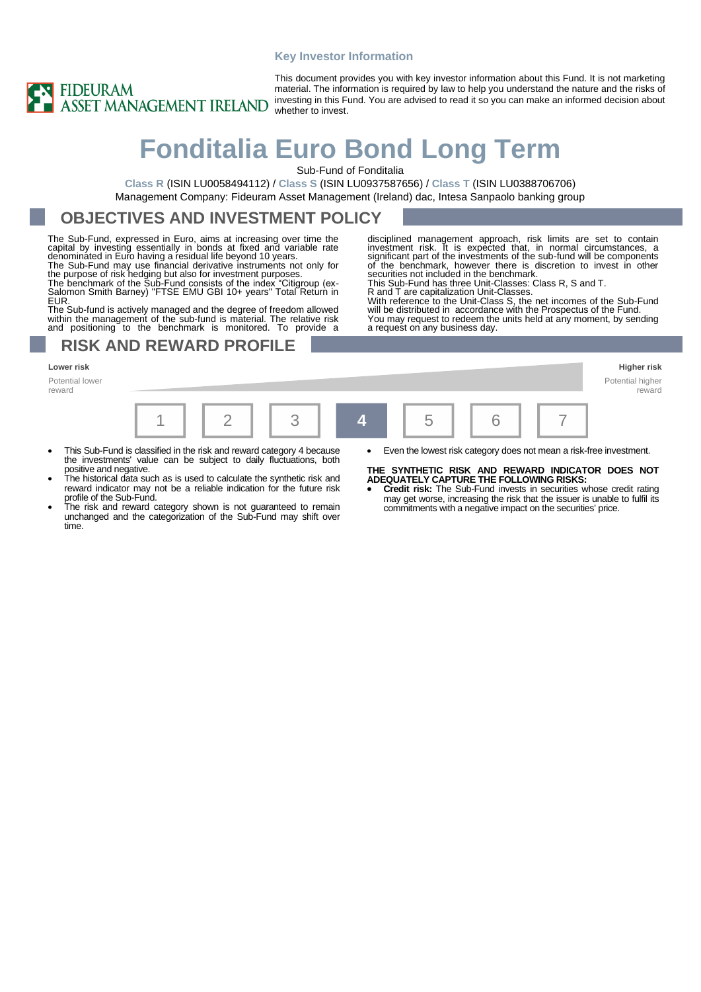#### **Key Investor Information**



This document provides you with key investor information about this Fund. It is not marketing material. The information is required by law to help you understand the nature and the risks of investing in this Fund. You are advised to read it so you can make an informed decision about whether to invest.

# **Fonditalia Euro Bond Long Term**

Sub-Fund of Fonditalia

**Class R** (ISIN LU0058494112) / **Class S** (ISIN LU0937587656) / **Class T** (ISIN LU0388706706) Management Company: Fideuram Asset Management (Ireland) dac, Intesa Sanpaolo banking group

### **OBJECTIVES AND INVESTMENT POLICY**

The Sub-Fund, expressed in Euro, aims at increasing over time the capital by investing essentially in bonds at fixed and variable rate denominated in Euro having a residual life beyond 10 years.<br>The Sub-Fund may use financ

**EUR** 

The Sub-fund is actively managed and the degree of freedom allowed within the management of the sub-fund is material. The relative risk and positioning to the benchmark is monitored. To provide a

### **RISK AND REWARD PROFILE**

Potential lower reward

investment risk. It is expected that, in normal circumstances, a<br>significant part of the investments of the sub-fund will be components<br>of the benchmark, however there is discretion to invest in other<br>securities not includ This Sub-Fund has three Unit-Classes: Class R, S and T.

disciplined management approach, risk limits are set to contain

R and T are capitalization Unit-Classes. With reference to the Unit-Class S, the net incomes of the Sub-Fund will be distributed in accordance with the Prospectus of the Fund. You may request to redeem the units held at any moment, by sending a request on any business day.



- This Sub-Fund is classified in the risk and reward category 4 because the investments' value can be subject to daily fluctuations, both positive and negative.
- The historical data such as is used to calculate the synthetic risk and reward indicator may not be a reliable indication for the future risk profile of the Sub-Fund.
- The risk and reward category shown is not guaranteed to remain unchanged and the categorization of the Sub-Fund may shift over time.
- Even the lowest risk category does not mean a risk-free investment.

#### **THE SYNTHETIC RISK AND REWARD INDICATOR DOES NOT ADEQUATELY CAPTURE THE FOLLOWING RISKS:**

• **Credit risk:** The Sub-Fund invests in securities whose credit rating may get worse, increasing the risk that the issuer is unable to fulfil its commitments with a negative impact on the securities' price.